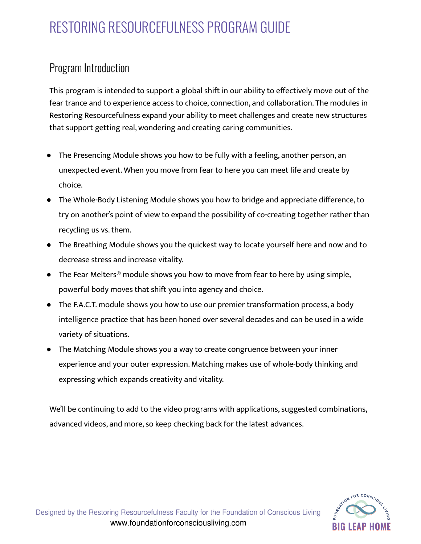### Program Introduction

This program is intended to support a global shift in our ability to effectively move out of the fear trance and to experience access to choice, connection, and collaboration. The modules in Restoring Resourcefulness expand your ability to meet challenges and create new structures that support getting real, wondering and creating caring communities.

- The Presencing Module shows you how to be fully with a feeling, another person, an unexpected event. When you move from fear to here you can meet life and create by choice.
- The Whole-Body Listening Module shows you how to bridge and appreciate difference, to try on another's point of view to expand the possibility of co-creating together rather than recycling us vs. them.
- The Breathing Module shows you the quickest way to locate yourself here and now and to decrease stress and increase vitality.
- The Fear Melters<sup>®</sup> module shows you how to move from fear to here by using simple, powerful body moves that shift you into agency and choice.
- The F.A.C.T. module shows you how to use our premier transformation process, a body intelligence practice that has been honed over several decades and can be used in a wide variety of situations.
- The Matching Module shows you a way to create congruence between your inner experience and your outer expression. Matching makes use of whole-body thinking and expressing which expands creativity and vitality.

We'll be continuing to add to the video programs with applications, suggested combinations, advanced videos, and more, so keep checking back for the latest advances.

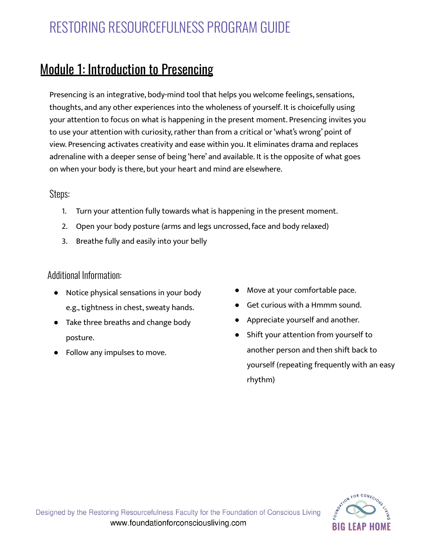### Module 1: Introduction to Presencing

Presencing is an integrative, body-mind tool that helps you welcome feelings, sensations, thoughts, and any other experiences into the wholeness of yourself. It is choicefully using your attention to focus on what is happening in the present moment. Presencing invites you to use your attention with curiosity, rather than from a critical or 'what's wrong' point of view. Presencing activates creativity and ease within you. It eliminates drama and replaces adrenaline with a deeper sense of being 'here' and available. It is the opposite of what goes on when your body is there, but your heart and mind are elsewhere.

#### Steps:

- 1. Turn your attention fully towards what is happening in the present moment.
- 2. Open your body posture (arms and legs uncrossed, face and body relaxed)
- 3. Breathe fully and easily into your belly

#### Additional Information:

- Notice physical sensations in your body e.g., tightness in chest, sweaty hands.
- Take three breaths and change body posture.
- Follow any impulses to move.
- Move at your comfortable pace.
- Get curious with a Hmmm sound.
- Appreciate yourself and another.
- Shift your attention from yourself to another person and then shift back to yourself (repeating frequently with an easy rhythm)

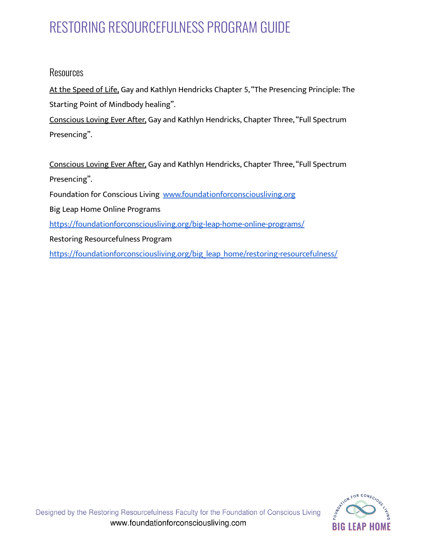#### Resources

At the [Speed](https://www.amazon.com/At-Speed-Life-Intelligence-Transformational/dp/154265551X) of Life, Gay and Kathlyn Hendricks Chapter 5, "The Presencing Principle: The Starting Point of Mindbody healing".

[Conscious](https://www.amazon.com/Conscious-Loving-Ever-After-Relationships/dp/1401947336/ref=sr_1_1?crid=3N3O7O86KWN1Z&keywords=conscious+loving+ever+after&qid=1574441542&s=books&sprefix=conscious+loving+ever%2Cstripbooks%2C192&sr=1-1) Loving Ever After, Gay and Kathlyn Hendricks, Chapter Three,"Full Spectrum Presencing".

[Conscious](https://www.amazon.com/Conscious-Loving-Ever-After-Relationships/dp/1401947336/ref=sr_1_1?crid=3N3O7O86KWN1Z&keywords=conscious+loving+ever+after&qid=1574441542&s=books&sprefix=conscious+loving+ever%2Cstripbooks%2C192&sr=1-1) Loving Ever After, Gay and Kathlyn Hendricks, Chapter Three,"Full Spectrum Presencing".

Foundation for Conscious Living [www.foundationforconsciousliving.org](https://foundationforconsciousliving.org/)

Big Leap Home Online Programs

<https://foundationforconsciousliving.org/big-leap-home-online-programs/>

Restoring Resourcefulness Program

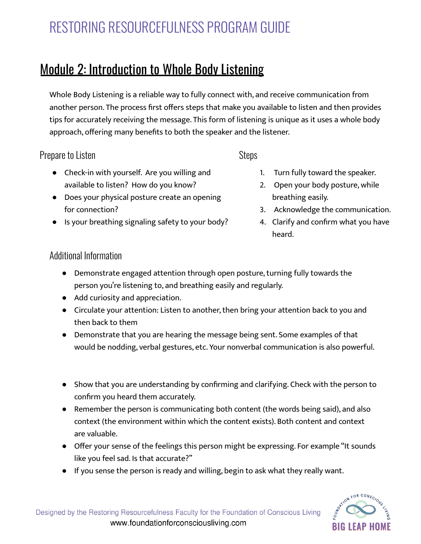## Module 2: Introduction to Whole Body Listening

Whole Body Listening is a reliable way to fully connect with, and receive communication from another person. The process first offers steps that make you available to listen and then provides tips for accurately receiving the message. This form of listening is unique as it uses a whole body approach, offering many benefits to both the speaker and the listener.

### Prepare to Listen

#### **Steps**

- Check-in with yourself. Are you willing and available to listen? How do you know?
- Does your physical posture create an opening for connection?
- Is your breathing signaling safety to your body?
- 1. Turn fully toward the speaker.
- 2. Open your body posture, while breathing easily.
- 3. Acknowledge the communication.
- 4. Clarify and confirm what you have heard.

### Additional Information

- Demonstrate engaged attention through open posture, turning fully towards the person you're listening to, and breathing easily and regularly.
- Add curiosity and appreciation.
- Circulate your attention: Listen to another, then bring your attention back to you and then back to them
- Demonstrate that you are hearing the message being sent. Some examples of that would be nodding, verbal gestures, etc. Your nonverbal communication is also powerful.
- Show that you are understanding by confirming and clarifying. Check with the person to confirm you heard them accurately.
- Remember the person is communicating both content (the words being said), and also context (the environment within which the content exists). Both content and context are valuable.
- Offer your sense of the feelings this person might be expressing. For example "It sounds like you feel sad. Is that accurate?"
- If you sense the person is ready and willing, begin to ask what they really want.

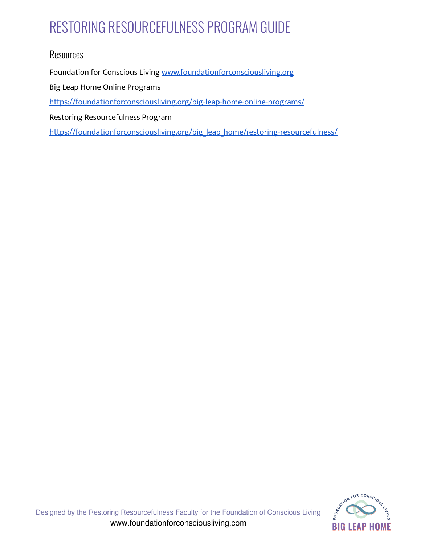### **Resources**

Foundation for Conscious Living [www.foundationforconsciousliving.org](https://foundationforconsciousliving.org/)

Big Leap Home Online Programs

<https://foundationforconsciousliving.org/big-leap-home-online-programs/>

Restoring Resourcefulness Program

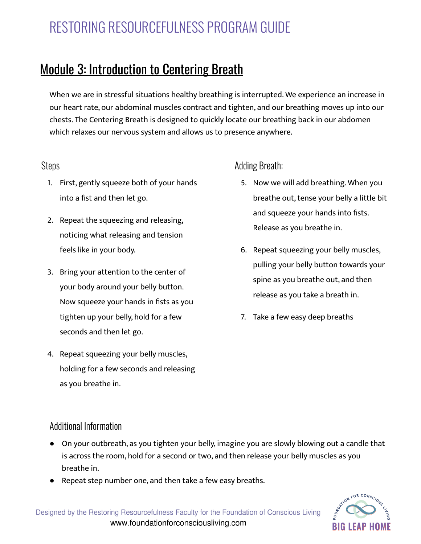## Module 3: Introduction to Centering Breath

When we are in stressful situations healthy breathing is interrupted. We experience an increase in our heart rate, our abdominal muscles contract and tighten, and our breathing moves up into our chests. The Centering Breath is designed to quickly locate our breathing back in our abdomen which relaxes our nervous system and allows us to presence anywhere.

#### Steps

- 1. First, gently squeeze both of your hands into a fist and then let go.
- 2. Repeat the squeezing and releasing, noticing what releasing and tension feels like in your body.
- 3. Bring your attention to the center of your body around your belly button. Now squeeze your hands in fists as you tighten up your belly, hold for a few seconds and then let go.
- 4. Repeat squeezing your belly muscles, holding for a few seconds and releasing as you breathe in.

### Adding Breath:

- 5. Now we will add breathing. When you breathe out, tense your belly a little bit and squeeze your hands into fists. Release as you breathe in.
- 6. Repeat squeezing your belly muscles, pulling your belly button towards your spine as you breathe out, and then release as you take a breath in.
- 7. Take a few easy deep breaths

### Additional Information

- On your outbreath, as you tighten your belly, imagine you are slowly blowing out a candle that is across the room, hold for a second or two, and then release your belly muscles as you breathe in.
- Repeat step number one, and then take a few easy breaths.

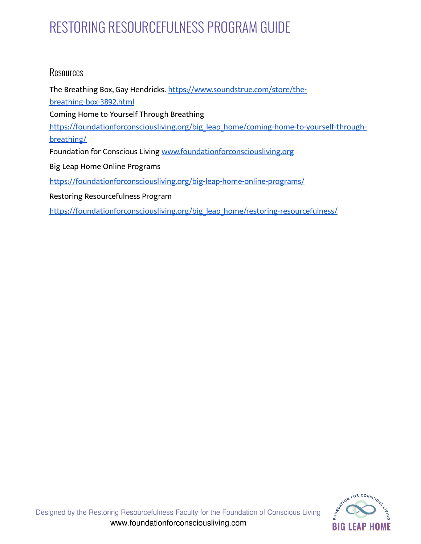#### Resources

The Breathing Box, Gay Hendricks. [https://www.soundstrue.com/store/the](https://www.soundstrue.com/store/the-breathing-box-3892.html)[breathing-box-3892.html](https://www.soundstrue.com/store/the-breathing-box-3892.html) Coming Home to Yourself Through Breathing [https://foundationforconsciousliving.org/big\\_leap\\_home/coming-home-to-yourself-through](https://foundationforconsciousliving.org/big_leap_home/coming-home-to-yourself-through-breathing/)[breathing/](https://foundationforconsciousliving.org/big_leap_home/coming-home-to-yourself-through-breathing/) Foundation for Conscious Living [www.foundationforconsciousliving.org](https://foundationforconsciousliving.org/) Big Leap Home Online Programs <https://foundationforconsciousliving.org/big-leap-home-online-programs/> Restoring Resourcefulness Program

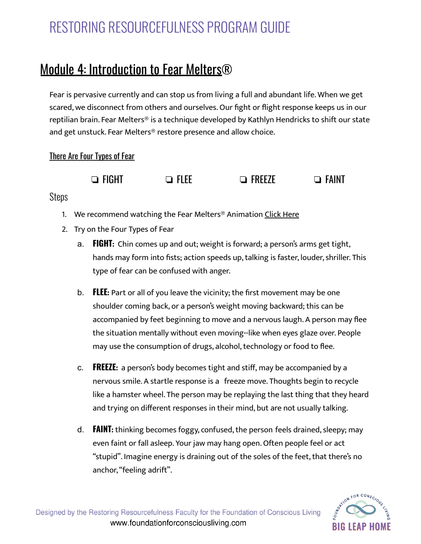## Module 4: Introduction to Fear Melters®

Fear is pervasive currently and can stop us from living a full and abundant life. When we get scared, we disconnect from others and ourselves. Our fight or flight response keeps us in our reptilian brain. Fear Melters® is a technique developed by Kathlyn Hendricks to shift our state and get unstuck. Fear Melters® restore presence and allow choice.

#### There Are Four Types of Fear



#### **Steps**

- 1. We recommend watching the Fear Melters<sup>®</sup> Animation Click [Here](https://foundationforconsciousliving.com/big-leap-programs/restoring-resourcefulness-with-fear-melters/)
- 2. Try on the Four Types of Fear
	- a. **FIGHT:** Chin comes up and out; weight is forward; a person's arms get tight, hands may form into fists; action speeds up, talking is faster, louder, shriller. This type of fear can be confused with anger.
	- b. **FLEE:** Part or all of you leave the vicinity; the first movement may be one shoulder coming back, or a person's weight moving backward; this can be accompanied by feet beginning to move and a nervous laugh. A person may flee the situation mentally without even moving--like when eyes glaze over. People may use the consumption of drugs, alcohol, technology or food to flee.
	- c. **FREEZE:** a person's body becomes tight and stiff, may be accompanied by a nervous smile. A startle response is a freeze move. Thoughts begin to recycle like a hamster wheel. The person may be replaying the last thing that they heard and trying on different responses in their mind, but are not usually talking.
	- d. **FAINT:** thinking becomes foggy, confused,the person feels drained, sleepy; may even faint or fall asleep. Your jaw may hang open. Often people feel or act "stupid". Imagine energy is draining out of the soles of the feet, that there's no anchor,"feeling adrift".

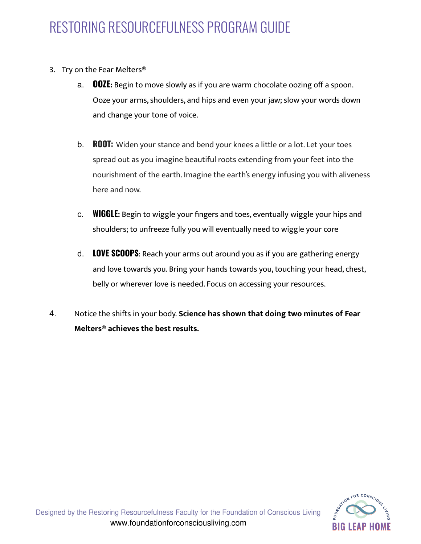- 3. Try on the Fear Melters®
	- a. **OOZE:** Begin to move slowly as if you are warm chocolate oozing off a spoon. Ooze your arms, shoulders, and hips and even your jaw; slow your words down and change your tone of voice.
	- b. **ROOT:** Widen your stance and bend your knees a little or a lot. Let your toes spread out as you imagine beautiful roots extending from your feet into the nourishment of the earth. Imagine the earth's energy infusing you with aliveness here and now.
	- c. **WIGGLE:** Begin to wiggle your fingers and toes, eventually wiggle your hips and shoulders; to unfreeze fully you will eventually need to wiggle your core
	- d. **LOVE SCOOPS**: Reach your arms out around you as if you are gathering energy and love towards you. Bring your hands towards you, touching your head, chest, belly or wherever love is needed. Focus on accessing your resources.
- 4. Notice the shifts in your body. **Science has shown that doing two minutes of Fear Melters® achieves the best results.**

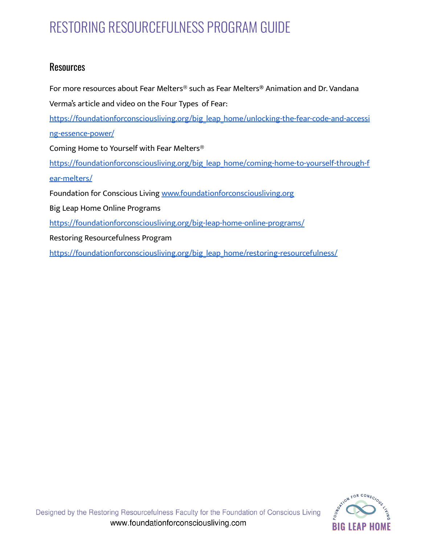### **Resources**

For more resources about Fear Melters® such as Fear Melters**®** Animation and Dr. Vandana Verma's article and video on the Four Types of Fear: [https://foundationforconsciousliving.org/big\\_leap\\_home/unlocking-the-fear-code-and-accessi](https://foundationforconsciousliving.org/big_leap_home/unlocking-the-fear-code-and-accessing-essence-power/) [ng-essence-power/](https://foundationforconsciousliving.org/big_leap_home/unlocking-the-fear-code-and-accessing-essence-power/) Coming Home to Yourself with Fear Melters® [https://foundationforconsciousliving.org/big\\_leap\\_home/coming-home-to-yourself-through-f](https://foundationforconsciousliving.org/big_leap_home/coming-home-to-yourself-through-fear-melters/) [ear-melters/](https://foundationforconsciousliving.org/big_leap_home/coming-home-to-yourself-through-fear-melters/) Foundation for Conscious Living [www.foundationforconsciousliving.org](https://foundationforconsciousliving.org/) Big Leap Home Online Programs <https://foundationforconsciousliving.org/big-leap-home-online-programs/> Restoring Resourcefulness Program [https://foundationforconsciousliving.org/big\\_leap\\_home/restoring-resourcefulness/](https://foundationforconsciousliving.org/big_leap_home/restoring-resourcefulness/)

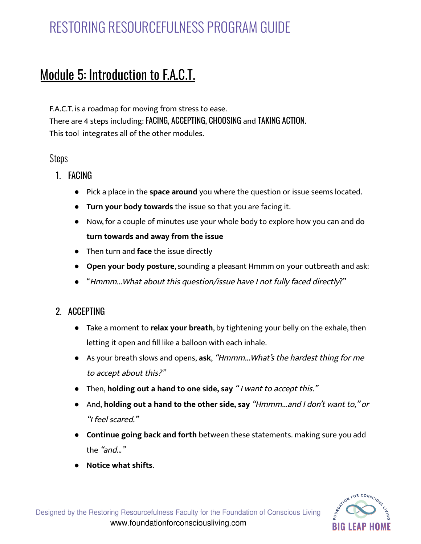## Module 5: Introduction to F.A.C.T.

F.A.C.T. is a roadmap for moving from stress to ease. There are 4 steps including: FACING, ACCEPTING, CHOOSING and TAKING ACTION. This tool integrates all of the other modules.

#### Steps

- 1. FACING
	- Pick a place in the **space around** you where the question or issue seems located.
	- **Turn your body towards** the issue so that you are facing it.
	- Now, for a couple of minutes use your whole body to explore how you can and do **turn towards and away from the issue**
	- Then turn and **face** the issue directly
	- **Open your body posture**, sounding a pleasant Hmmm on your outbreath and ask:
	- "Hmmm...What about this question/issue have <sup>I</sup> not fully faced directly?"

### 2. ACCEPTING

- Take a moment to **relax your breath**, by tightening your belly on the exhale,then letting it open and fill like a balloon with each inhale.
- As your breath slows and opens, **ask**, "Hmmm...What's the hardest thing for me to accept about this?"
- Then, **holding out a hand to one side, say** " <sup>I</sup> want to accept this."
- And, **holding out a hand to the other side, say** "Hmmm...and <sup>I</sup> don't want to," or "I feel scared."
- **Continue going back and forth** between these statements. making sure you add the "and…"
- **Notice what shifts**.

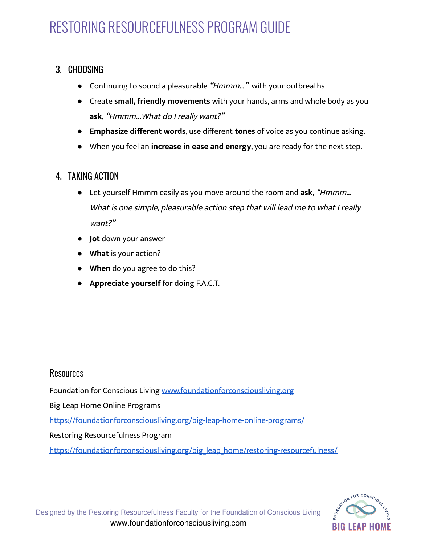### 3. CHOOSING

- Continuing to sound a pleasurable "Hmmm..." with your outbreaths
- Create **small, friendly movements** with your hands, arms and whole body as you **ask**, "Hmmm...What do <sup>I</sup> really want?"
- **Emphasize different words**, use different **tones** of voice as you continue asking.
- When you feel an **increase in ease and energy**, you are ready for the next step.

### 4. TAKING ACTION

- Let yourself Hmmm easily as you move around the room and **ask**, "Hmmm… What is one simple, pleasurable action step that will lead me to what I really want?"
- **Jot** down your answer
- **What** is your action?
- **When** do you agree to do this?
- **Appreciate yourself** for doing F.A.C.T.

### Resources

Foundation for Conscious Living [www.foundationforconsciousliving.org](https://foundationforconsciousliving.org/)

Big Leap Home Online Programs

<https://foundationforconsciousliving.org/big-leap-home-online-programs/>

#### Restoring Resourcefulness Program

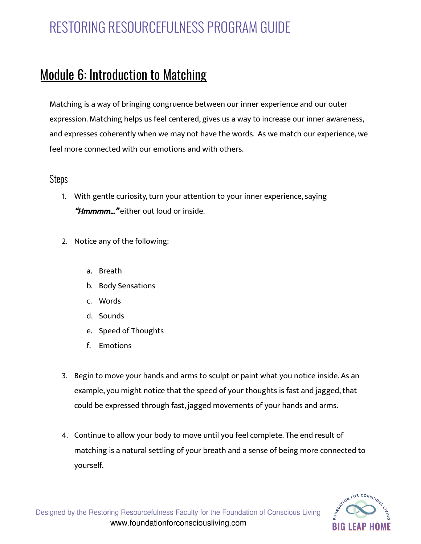## Module 6: Introduction to Matching

Matching is a way of bringing congruence between our inner experience and our outer expression. Matching helps us feel centered, gives us a way to increase our inner awareness, and expresses coherently when we may not have the words. As we match our experience, we feel more connected with our emotions and with others.

#### **Steps**

- 1. With gentle curiosity, turn your attention to your inner experience, saying *Hmmmm...* "either out loud or inside.
- 2. Notice any of the following:
	- a. Breath
	- b. Body Sensations
	- c. Words
	- d. Sounds
	- e. Speed of Thoughts
	- f. Emotions
- 3. Begin to move your hands and arms to sculpt or paint what you notice inside. As an example, you might notice that the speed of your thoughts is fast and jagged, that could be expressed through fast, jagged movements of your hands and arms.
- 4. Continue to allow your body to move until you feel complete. The end result of matching is a natural settling of your breath and a sense of being more connected to yourself.